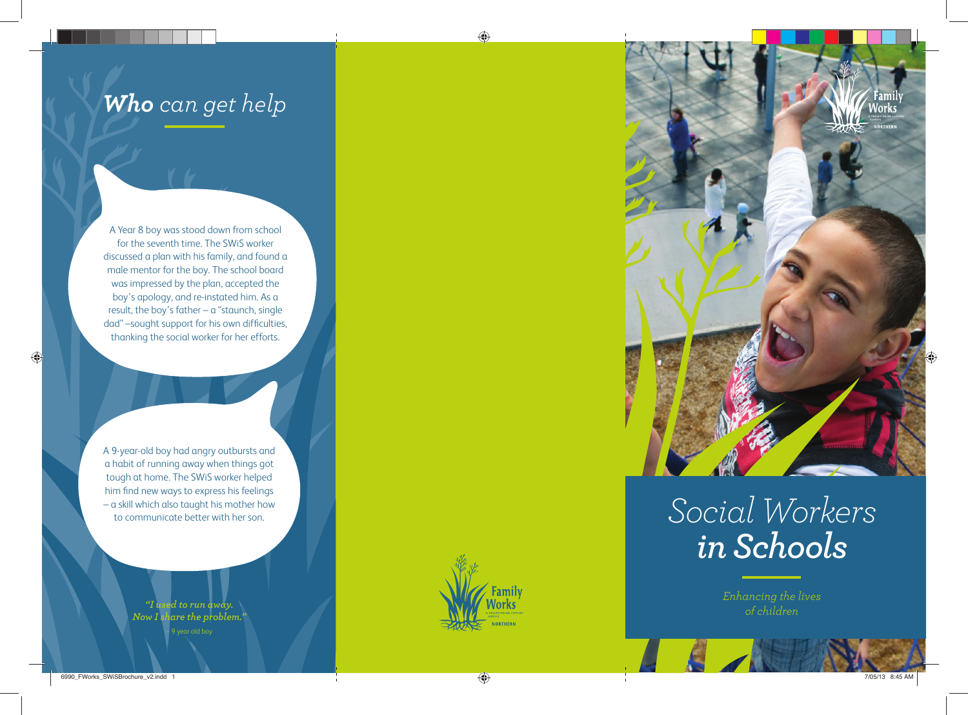## *Who can get help*

A Year 8 boy was stood down from school for the seventh time. The SWiS worker discussed a plan with his family, and found a male mentor for the boy. The school board was impressed by the plan, accepted the boy's apology, and re-instated him. As a result, the boy's father – a "staunch, single dad" -sought support for his own difficulties, thanking the social worker for her efforts.

A 9-year-old boy had angry outbursts and a habit of running away when things got tough at home. The SWiS worker helped him find new ways to express his feelings – a skill which also taught his mother how to communicate better with her son.

> *"I used to run away. Now I share the problem."* – 9 year old boy





## *Social Workers in Schools*

*Enhancing the lives of children*